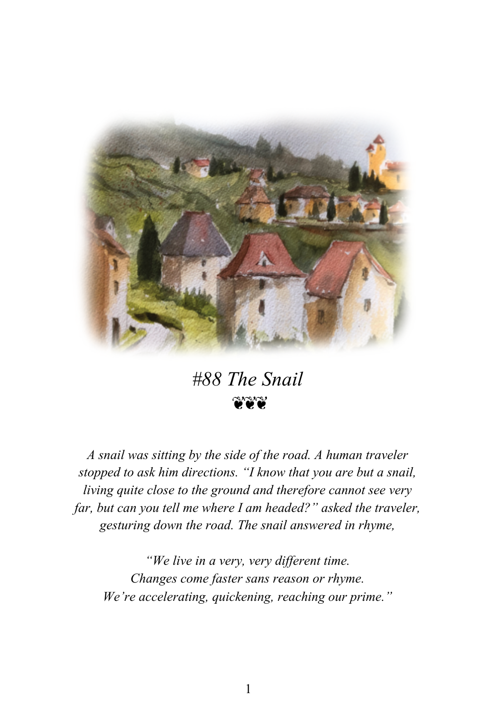

## *#88 The Snail* นามา

*A snail was sitting by the side of the road. A human traveler stopped to ask him directions. "I know that you are but a snail, living quite close to the ground and therefore cannot see very far, but can you tell me where I am headed?" asked the traveler, gesturing down the road. The snail answered in rhyme,*

*"We live in a very, very different time. Changes come faster sans reason or rhyme. We're accelerating, quickening, reaching our prime."*